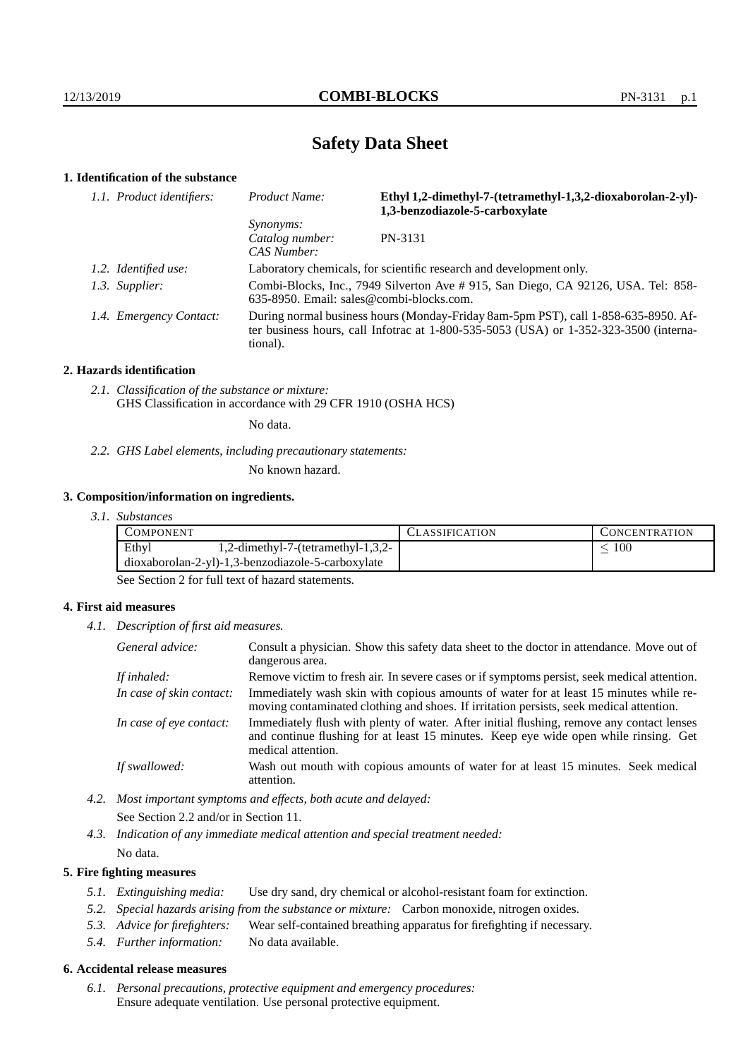# **Safety Data Sheet**

# **1. Identification of the substance**

| 1.1. Product identifiers: | Ethyl 1,2-dimethyl-7-(tetramethyl-1,3,2-dioxaborolan-2-yl)-<br>Product Name:<br>1,3-benzodiazole-5-carboxylate                                                                              |         |  |
|---------------------------|---------------------------------------------------------------------------------------------------------------------------------------------------------------------------------------------|---------|--|
|                           | <i>Synonyms:</i><br>Catalog number:<br>CAS Number:                                                                                                                                          | PN-3131 |  |
| 1.2. Identified use:      | Laboratory chemicals, for scientific research and development only.                                                                                                                         |         |  |
| 1.3. Supplier:            | Combi-Blocks, Inc., 7949 Silverton Ave # 915, San Diego, CA 92126, USA. Tel: 858-<br>$635-8950$ . Email: sales@combi-blocks.com.                                                            |         |  |
| 1.4. Emergency Contact:   | During normal business hours (Monday-Friday 8am-5pm PST), call 1-858-635-8950. Af-<br>ter business hours, call Infotrac at $1-800-535-5053$ (USA) or $1-352-323-3500$ (interna-<br>tional). |         |  |

## **2. Hazards identification**

*2.1. Classification of the substance or mixture:* GHS Classification in accordance with 29 CFR 1910 (OSHA HCS)

No data.

*2.2. GHS Label elements, including precautionary statements:*

No known hazard.

## **3. Composition/information on ingredients.**

*3.1. Substances*

| Ethyl<br>100<br>1,2-dimethyl-7-(tetramethyl-1,3,2-<br>dioxaborolan-2-yl)-1,3-benzodiazole-5-carboxylate | COMPONENT |  | <b>LASSIFICATION</b> | CONCENTRATION. |
|---------------------------------------------------------------------------------------------------------|-----------|--|----------------------|----------------|
|                                                                                                         |           |  |                      |                |
|                                                                                                         |           |  |                      |                |

See Section 2 for full text of hazard statements.

## **4. First aid measures**

*4.1. Description of first aid measures.*

| General advice:          | Consult a physician. Show this safety data sheet to the doctor in attendance. Move out of<br>dangerous area.                                                                                            |  |
|--------------------------|---------------------------------------------------------------------------------------------------------------------------------------------------------------------------------------------------------|--|
| If inhaled:              | Remove victim to fresh air. In severe cases or if symptoms persist, seek medical attention.                                                                                                             |  |
| In case of skin contact: | Immediately wash skin with copious amounts of water for at least 15 minutes while re-<br>moving contaminated clothing and shoes. If irritation persists, seek medical attention.                        |  |
| In case of eye contact:  | Immediately flush with plenty of water. After initial flushing, remove any contact lenses<br>and continue flushing for at least 15 minutes. Keep eye wide open while rinsing. Get<br>medical attention. |  |
| If swallowed:            | Wash out mouth with copious amounts of water for at least 15 minutes. Seek medical<br>attention.                                                                                                        |  |

*4.2. Most important symptoms and effects, both acute and delayed:* See Section 2.2 and/or in Section 11.

*4.3. Indication of any immediate medical attention and special treatment needed:* No data.

## **5. Fire fighting measures**

- *5.1. Extinguishing media:* Use dry sand, dry chemical or alcohol-resistant foam for extinction.
- *5.2. Special hazards arising from the substance or mixture:* Carbon monoxide, nitrogen oxides.
- *5.3. Advice for firefighters:* Wear self-contained breathing apparatus for firefighting if necessary.
- *5.4. Further information:* No data available.

## **6. Accidental release measures**

*6.1. Personal precautions, protective equipment and emergency procedures:* Ensure adequate ventilation. Use personal protective equipment.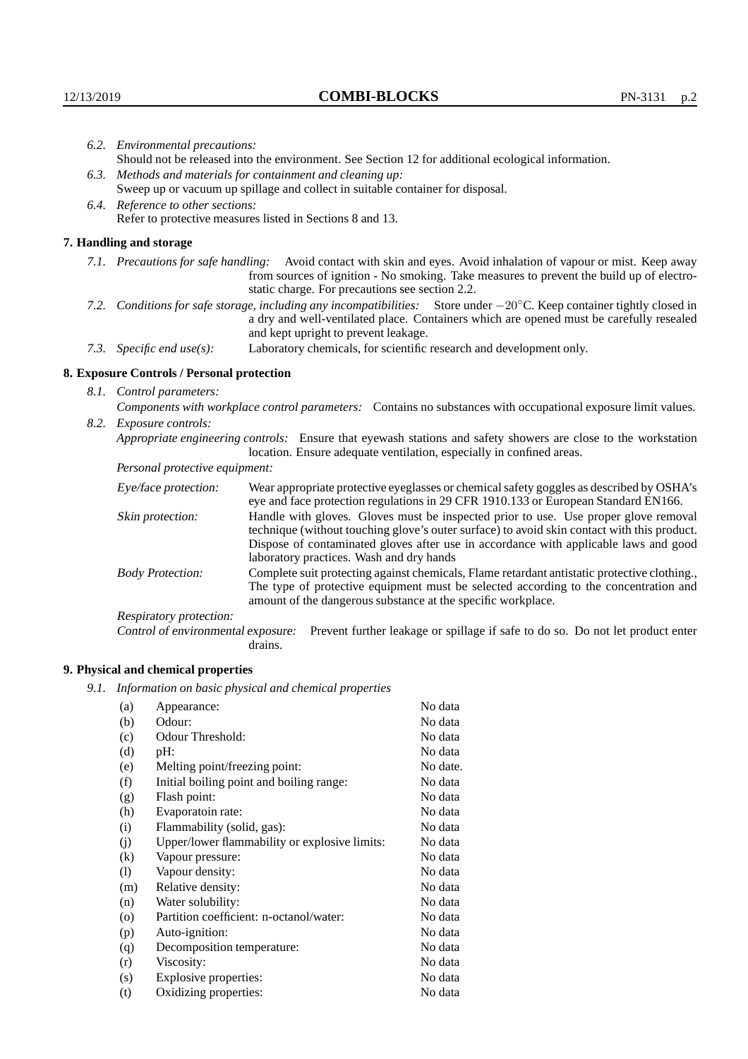|  | 6.2. Environmental precautions:                                                                                                                                                                                                                                     |                                                                                                                                                                                                                                                                    |  |  |  |  |
|--|---------------------------------------------------------------------------------------------------------------------------------------------------------------------------------------------------------------------------------------------------------------------|--------------------------------------------------------------------------------------------------------------------------------------------------------------------------------------------------------------------------------------------------------------------|--|--|--|--|
|  | Should not be released into the environment. See Section 12 for additional ecological information.                                                                                                                                                                  |                                                                                                                                                                                                                                                                    |  |  |  |  |
|  | 6.3. Methods and materials for containment and cleaning up:                                                                                                                                                                                                         |                                                                                                                                                                                                                                                                    |  |  |  |  |
|  |                                                                                                                                                                                                                                                                     | Sweep up or vacuum up spillage and collect in suitable container for disposal.                                                                                                                                                                                     |  |  |  |  |
|  | 6.4. Reference to other sections:                                                                                                                                                                                                                                   |                                                                                                                                                                                                                                                                    |  |  |  |  |
|  |                                                                                                                                                                                                                                                                     | Refer to protective measures listed in Sections 8 and 13.                                                                                                                                                                                                          |  |  |  |  |
|  | 7. Handling and storage                                                                                                                                                                                                                                             |                                                                                                                                                                                                                                                                    |  |  |  |  |
|  |                                                                                                                                                                                                                                                                     | 7.1. Precautions for safe handling: Avoid contact with skin and eyes. Avoid inhalation of vapour or mist. Keep away<br>from sources of ignition - No smoking. Take measures to prevent the build up of electro-<br>static charge. For precautions see section 2.2. |  |  |  |  |
|  | 7.2. Conditions for safe storage, including any incompatibilities: Store under $-20^{\circ}$ C. Keep container tightly closed in<br>a dry and well-ventilated place. Containers which are opened must be carefully resealed<br>and kept upright to prevent leakage. |                                                                                                                                                                                                                                                                    |  |  |  |  |
|  | Laboratory chemicals, for scientific research and development only.<br>7.3. Specific end use(s):                                                                                                                                                                    |                                                                                                                                                                                                                                                                    |  |  |  |  |
|  | 8. Exposure Controls / Personal protection                                                                                                                                                                                                                          |                                                                                                                                                                                                                                                                    |  |  |  |  |
|  | 8.1. Control parameters:                                                                                                                                                                                                                                            |                                                                                                                                                                                                                                                                    |  |  |  |  |
|  |                                                                                                                                                                                                                                                                     | Components with workplace control parameters: Contains no substances with occupational exposure limit values.                                                                                                                                                      |  |  |  |  |
|  | 8.2. Exposure controls:                                                                                                                                                                                                                                             |                                                                                                                                                                                                                                                                    |  |  |  |  |
|  |                                                                                                                                                                                                                                                                     | Appropriate engineering controls: Ensure that eyewash stations and safety showers are close to the workstation<br>location. Ensure adequate ventilation, especially in confined areas.                                                                             |  |  |  |  |
|  | Personal protective equipment:                                                                                                                                                                                                                                      |                                                                                                                                                                                                                                                                    |  |  |  |  |
|  | Eye/face protection:                                                                                                                                                                                                                                                | Wear appropriate protective eyeglasses or chemical safety goggles as described by OSHA's<br>eye and face protection regulations in 29 CFR 1910.133 or European Standard EN166.                                                                                     |  |  |  |  |
|  | Skin protection:                                                                                                                                                                                                                                                    | Handle with gloves. Gloves must be inspected prior to use. Use proper glove removal<br>technique (without touching glove's outer surface) to avoid skin contact with this product.                                                                                 |  |  |  |  |

# **8. Exposure Controls / Personal protection**

| Eye/face protection:               | Wear appropriate protective eyeglasses or chemical safety goggles as described by OSHA's<br>eye and face protection regulations in 29 CFR 1910.133 or European Standard EN166.                                                                                                                                         |  |  |
|------------------------------------|------------------------------------------------------------------------------------------------------------------------------------------------------------------------------------------------------------------------------------------------------------------------------------------------------------------------|--|--|
| Skin protection:                   | Handle with gloves. Gloves must be inspected prior to use. Use proper glove removal<br>technique (without touching glove's outer surface) to avoid skin contact with this product.<br>Dispose of contaminated gloves after use in accordance with applicable laws and good<br>laboratory practices. Wash and dry hands |  |  |
| <b>Body Protection:</b>            | Complete suit protecting against chemicals, Flame retardant antistatic protective clothing.,<br>The type of protective equipment must be selected according to the concentration and<br>amount of the dangerous substance at the specific workplace.                                                                   |  |  |
| Respiratory protection:            |                                                                                                                                                                                                                                                                                                                        |  |  |
| Control of environmental exposure: | Prevent further leakage or spillage if safe to do so. Do not let product enter<br>drains.                                                                                                                                                                                                                              |  |  |

# **9. Physical and chemical properties**

*9.1. Information on basic physical and chemical properties*

| (a)                        | Appearance:                                   | No data  |
|----------------------------|-----------------------------------------------|----------|
| (b)                        | Odour:                                        | No data  |
| (c)                        | Odour Threshold:                              | No data  |
| (d)                        | $pH$ :                                        | No data  |
| (e)                        | Melting point/freezing point:                 | No date. |
| (f)                        | Initial boiling point and boiling range:      | No data  |
| (g)                        | Flash point:                                  | No data  |
| (h)                        | Evaporatoin rate:                             | No data  |
| (i)                        | Flammability (solid, gas):                    | No data  |
| (j)                        | Upper/lower flammability or explosive limits: | No data  |
| (k)                        | Vapour pressure:                              | No data  |
| $\left( \mathrm{l}\right)$ | Vapour density:                               | No data  |
| (m)                        | Relative density:                             | No data  |
| (n)                        | Water solubility:                             | No data  |
| $\rm (o)$                  | Partition coefficient: n-octanol/water:       | No data  |
| (p)                        | Auto-ignition:                                | No data  |
| (q)                        | Decomposition temperature:                    | No data  |
| (r)                        | Viscosity:                                    | No data  |
| (s)                        | Explosive properties:                         | No data  |
| (t)                        | Oxidizing properties:                         | No data  |